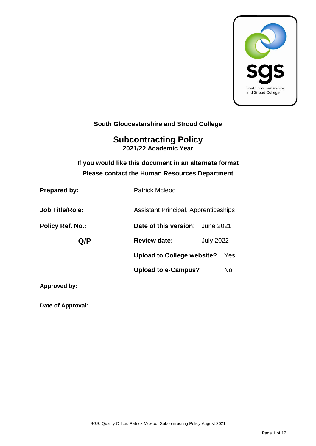

# **South Gloucestershire and Stroud College**

# **Subcontracting Policy 2021/22 Academic Year**

# **If you would like this document in an alternate format Please contact the Human Resources Department**

| <b>Prepared by:</b>     | <b>Patrick Mcleod</b>                       |  |  |
|-------------------------|---------------------------------------------|--|--|
| <b>Job Title/Role:</b>  | <b>Assistant Principal, Apprenticeships</b> |  |  |
| <b>Policy Ref. No.:</b> | Date of this version: June 2021             |  |  |
| Q/P                     | <b>Review date:</b><br><b>July 2022</b>     |  |  |
|                         | <b>Upload to College website?</b><br>Yes    |  |  |
|                         | <b>Upload to e-Campus?</b><br>No.           |  |  |
| <b>Approved by:</b>     |                                             |  |  |
| Date of Approval:       |                                             |  |  |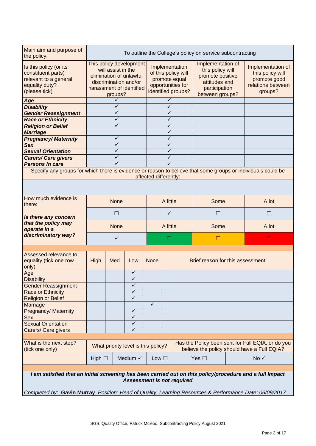| Main aim and purpose of<br>To outline the College's policy on service subcontracting<br>the policy:          |                                                  |              |                                     |                       |                     |                    |                                  |                   |                                                                                                  |
|--------------------------------------------------------------------------------------------------------------|--------------------------------------------------|--------------|-------------------------------------|-----------------------|---------------------|--------------------|----------------------------------|-------------------|--------------------------------------------------------------------------------------------------|
|                                                                                                              |                                                  |              |                                     |                       |                     |                    |                                  |                   |                                                                                                  |
| Is this policy (or its                                                                                       | This policy development                          |              |                                     |                       | Implementation      | Implementation of  |                                  | Implementation of |                                                                                                  |
| constituent parts)                                                                                           | will assist in the                               |              |                                     |                       | of this policy will | this policy will   |                                  | this policy will  |                                                                                                  |
| relevant to a general                                                                                        | elimination of unlawful<br>discrimination and/or |              |                                     |                       | promote equal       | promote positive   |                                  | promote good      |                                                                                                  |
| equality duty?                                                                                               |                                                  |              |                                     |                       |                     | opportunities for  | attitudes and                    |                   | relations between                                                                                |
| (please tick)                                                                                                |                                                  |              | harassment of identified            |                       |                     | identified groups? | participation                    |                   | groups?                                                                                          |
|                                                                                                              | groups?<br>✓                                     |              |                                     | $\checkmark$          |                     | between groups?    |                                  |                   |                                                                                                  |
| Age<br><b>Disability</b>                                                                                     | ✓                                                |              |                                     | $\checkmark$          |                     |                    |                                  |                   |                                                                                                  |
| <b>Gender Reassignment</b>                                                                                   |                                                  | ✓            |                                     |                       | $\checkmark$        |                    |                                  |                   |                                                                                                  |
| <b>Race or Ethnicity</b>                                                                                     |                                                  | ✓            |                                     | $\checkmark$          |                     |                    |                                  |                   |                                                                                                  |
| <b>Religion or Belief</b>                                                                                    |                                                  | ✓            |                                     | $\checkmark$          |                     |                    |                                  |                   |                                                                                                  |
| <b>Marriage</b>                                                                                              |                                                  |              |                                     | $\checkmark$          |                     |                    |                                  |                   |                                                                                                  |
| <b>Pregnancy/Maternity</b>                                                                                   |                                                  | ✓            |                                     |                       | $\checkmark$        |                    |                                  |                   |                                                                                                  |
| <b>Sex</b>                                                                                                   |                                                  | $\checkmark$ |                                     |                       | $\checkmark$        |                    |                                  |                   |                                                                                                  |
| <b>Sexual Orientation</b>                                                                                    |                                                  | ✓            |                                     |                       | $\checkmark$        |                    |                                  |                   |                                                                                                  |
| <b>Carers/ Care givers</b>                                                                                   |                                                  | ✓            |                                     |                       | ✓                   |                    |                                  |                   |                                                                                                  |
| <b>Persons in care</b>                                                                                       |                                                  | ✓            |                                     |                       | $\checkmark$        |                    |                                  |                   |                                                                                                  |
| Specify any groups for which there is evidence or reason to believe that some groups or individuals could be |                                                  |              |                                     |                       |                     |                    |                                  |                   |                                                                                                  |
|                                                                                                              |                                                  |              |                                     | affected differently: |                     |                    |                                  |                   |                                                                                                  |
|                                                                                                              |                                                  |              |                                     |                       |                     |                    |                                  |                   |                                                                                                  |
|                                                                                                              |                                                  |              |                                     |                       |                     |                    |                                  |                   |                                                                                                  |
| How much evidence is                                                                                         |                                                  |              |                                     |                       |                     |                    |                                  |                   |                                                                                                  |
| there:                                                                                                       | <b>None</b>                                      |              | A little                            |                       | Some                |                    | A lot                            |                   |                                                                                                  |
|                                                                                                              |                                                  |              |                                     |                       |                     |                    |                                  |                   |                                                                                                  |
| Is there any concern                                                                                         | $\Box$                                           |              |                                     |                       | $\checkmark$        |                    | L                                |                   | Ш                                                                                                |
| that the policy may                                                                                          |                                                  |              |                                     | A little              |                     |                    |                                  | A lot             |                                                                                                  |
| operate in a                                                                                                 | <b>None</b>                                      |              |                                     |                       |                     | Some               |                                  |                   |                                                                                                  |
| discriminatory way?                                                                                          | ✓                                                |              |                                     | Ш                     |                     | $\Box$             |                                  | $\Box$            |                                                                                                  |
|                                                                                                              |                                                  |              |                                     |                       |                     |                    |                                  |                   |                                                                                                  |
|                                                                                                              |                                                  |              |                                     |                       |                     |                    |                                  |                   |                                                                                                  |
| Assessed relevance to                                                                                        |                                                  |              |                                     |                       |                     |                    |                                  |                   |                                                                                                  |
| equality (tick one row                                                                                       | High                                             | Med          | Low                                 | <b>None</b>           |                     |                    | Brief reason for this assessment |                   |                                                                                                  |
| only)                                                                                                        |                                                  |              | $\checkmark$                        |                       |                     |                    |                                  |                   |                                                                                                  |
| Age<br><b>Disability</b>                                                                                     |                                                  |              | $\checkmark$                        |                       |                     |                    |                                  |                   |                                                                                                  |
|                                                                                                              |                                                  |              | $\checkmark$                        |                       |                     |                    |                                  |                   |                                                                                                  |
| <b>Gender Reassignment</b>                                                                                   |                                                  |              | ✓                                   |                       |                     |                    |                                  |                   |                                                                                                  |
| Race or Ethnicity                                                                                            |                                                  |              | ✓                                   |                       |                     |                    |                                  |                   |                                                                                                  |
| <b>Religion or Belief</b>                                                                                    |                                                  |              |                                     | $\checkmark$          |                     |                    |                                  |                   |                                                                                                  |
| Marriage                                                                                                     |                                                  |              | $\checkmark$                        |                       |                     |                    |                                  |                   |                                                                                                  |
| <b>Pregnancy/ Maternity</b>                                                                                  |                                                  |              | $\checkmark$                        |                       |                     |                    |                                  |                   |                                                                                                  |
| Sex<br><b>Sexual Orientation</b>                                                                             |                                                  |              | $\checkmark$                        |                       |                     |                    |                                  |                   |                                                                                                  |
|                                                                                                              |                                                  |              | $\checkmark$                        |                       |                     |                    |                                  |                   |                                                                                                  |
| Carers/ Care givers                                                                                          |                                                  |              |                                     |                       |                     |                    |                                  |                   |                                                                                                  |
|                                                                                                              |                                                  |              |                                     |                       |                     |                    |                                  |                   |                                                                                                  |
| What is the next step?<br>(tick one only)                                                                    |                                                  |              | What priority level is this policy? |                       |                     |                    |                                  |                   | Has the Policy been sent for Full EQIA, or do you<br>believe the policy should have a Full EQIA? |
|                                                                                                              |                                                  |              |                                     |                       |                     |                    |                                  |                   |                                                                                                  |
|                                                                                                              | High $\Box$                                      |              | Medium V                            | Low $\square$         |                     |                    | Yes $\square$                    |                   | No √                                                                                             |
|                                                                                                              |                                                  |              |                                     |                       |                     |                    |                                  |                   |                                                                                                  |
| I am satisfied that an initial screening has been carried out on this policy/procedure and a full Impact     |                                                  |              |                                     |                       |                     |                    |                                  |                   |                                                                                                  |
|                                                                                                              |                                                  |              | <b>Assessment is not required</b>   |                       |                     |                    |                                  |                   |                                                                                                  |
|                                                                                                              |                                                  |              |                                     |                       |                     |                    |                                  |                   |                                                                                                  |

*Completed by:* **Gavin Murray** *Position: Head of Quality, Learning Resources & Performance Date: 06/09/2017*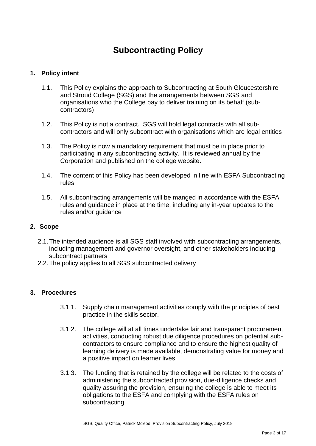# **Subcontracting Policy**

# **1. Policy intent**

- 1.1. This Policy explains the approach to Subcontracting at South Gloucestershire and Stroud College (SGS) and the arrangements between SGS and organisations who the College pay to deliver training on its behalf (subcontractors)
- 1.2. This Policy is not a contract. SGS will hold legal contracts with all subcontractors and will only subcontract with organisations which are legal entities
- 1.3. The Policy is now a mandatory requirement that must be in place prior to participating in any subcontracting activity. It is reviewed annual by the Corporation and published on the college website.
- 1.4. The content of this Policy has been developed in line with ESFA Subcontracting rules
- 1.5. All subcontracting arrangements will be manged in accordance with the ESFA rules and guidance in place at the time, including any in-year updates to the rules and/or guidance

# **2. Scope**

- 2.1.The intended audience is all SGS staff involved with subcontracting arrangements, including management and governor oversight, and other stakeholders including subcontract partners
- 2.2.The policy applies to all SGS subcontracted delivery

# **3. Procedures**

- 3.1.1. Supply chain management activities comply with the principles of best practice in the skills sector.
- 3.1.2. The college will at all times undertake fair and transparent procurement activities, conducting robust due diligence procedures on potential subcontractors to ensure compliance and to ensure the highest quality of learning delivery is made available, demonstrating value for money and a positive impact on learner lives
- 3.1.3. The funding that is retained by the college will be related to the costs of administering the subcontracted provision, due-diligence checks and quality assuring the provision, ensuring the college is able to meet its obligations to the ESFA and complying with the ESFA rules on subcontracting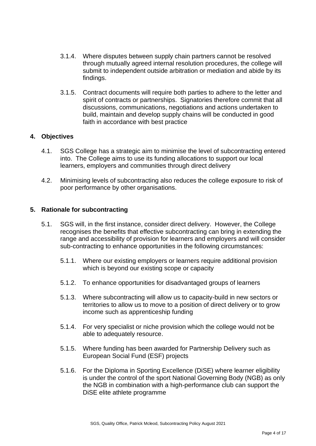- 3.1.4. Where disputes between supply chain partners cannot be resolved through mutually agreed internal resolution procedures, the college will submit to independent outside arbitration or mediation and abide by its findings.
- 3.1.5. Contract documents will require both parties to adhere to the letter and spirit of contracts or partnerships. Signatories therefore commit that all discussions, communications, negotiations and actions undertaken to build, maintain and develop supply chains will be conducted in good faith in accordance with best practice

# **4. Objectives**

- 4.1. SGS College has a strategic aim to minimise the level of subcontracting entered into. The College aims to use its funding allocations to support our local learners, employers and communities through direct delivery
- 4.2. Minimising levels of subcontracting also reduces the college exposure to risk of poor performance by other organisations.

#### **5. Rationale for subcontracting**

- 5.1. SGS will, in the first instance, consider direct delivery. However, the College recognises the benefits that effective subcontracting can bring in extending the range and accessibility of provision for learners and employers and will consider sub-contracting to enhance opportunities in the following circumstances:
	- 5.1.1. Where our existing employers or learners require additional provision which is beyond our existing scope or capacity
	- 5.1.2. To enhance opportunities for disadvantaged groups of learners
	- 5.1.3. Where subcontracting will allow us to capacity-build in new sectors or territories to allow us to move to a position of direct delivery or to grow income such as apprenticeship funding
	- 5.1.4. For very specialist or niche provision which the college would not be able to adequately resource.
	- 5.1.5. Where funding has been awarded for Partnership Delivery such as European Social Fund (ESF) projects
	- 5.1.6. For the Diploma in Sporting Excellence (DiSE) where learner eligibility is under the control of the sport National Governing Body (NGB) as only the NGB in combination with a high-performance club can support the DiSE elite athlete programme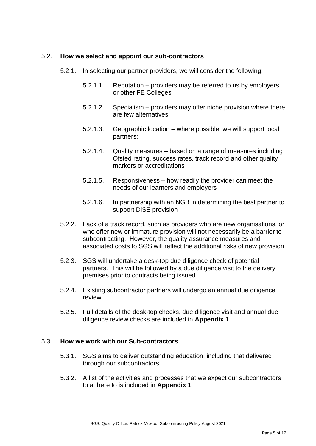#### 5.2. **How we select and appoint our sub-contractors**

- 5.2.1. In selecting our partner providers, we will consider the following:
	- 5.2.1.1. Reputation providers may be referred to us by employers or other FE Colleges
	- 5.2.1.2. Specialism providers may offer niche provision where there are few alternatives;
	- 5.2.1.3. Geographic location where possible, we will support local partners;
	- 5.2.1.4. Quality measures based on a range of measures including Ofsted rating, success rates, track record and other quality markers or accreditations
	- 5.2.1.5. Responsiveness how readily the provider can meet the needs of our learners and employers
	- 5.2.1.6. In partnership with an NGB in determining the best partner to support DiSE provision
- 5.2.2. Lack of a track record, such as providers who are new organisations, or who offer new or immature provision will not necessarily be a barrier to subcontracting. However, the quality assurance measures and associated costs to SGS will reflect the additional risks of new provision
- 5.2.3. SGS will undertake a desk-top due diligence check of potential partners. This will be followed by a due diligence visit to the delivery premises prior to contracts being issued
- 5.2.4. Existing subcontractor partners will undergo an annual due diligence review
- 5.2.5. Full details of the desk-top checks, due diligence visit and annual due diligence review checks are included in **Appendix 1**

#### 5.3. **How we work with our Sub-contractors**

- 5.3.1. SGS aims to deliver outstanding education, including that delivered through our subcontractors
- 5.3.2. A list of the activities and processes that we expect our subcontractors to adhere to is included in **Appendix 1**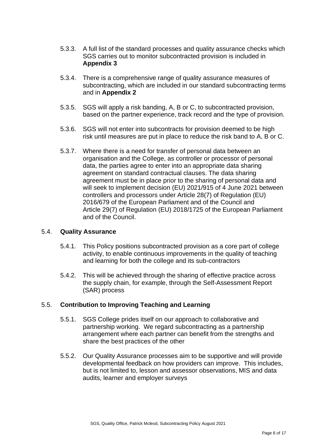- 5.3.3. A full list of the standard processes and quality assurance checks which SGS carries out to monitor subcontracted provision is included in **Appendix 3**
- 5.3.4. There is a comprehensive range of quality assurance measures of subcontracting, which are included in our standard subcontracting terms and in **Appendix 2**
- 5.3.5. SGS will apply a risk banding, A, B or C, to subcontracted provision, based on the partner experience, track record and the type of provision.
- 5.3.6. SGS will not enter into subcontracts for provision deemed to be high risk until measures are put in place to reduce the risk band to A, B or C.
- 5.3.7. Where there is a need for transfer of personal data between an organisation and the College, as controller or processor of personal data, the parties agree to enter into an appropriate data sharing agreement on standard contractual clauses. The data sharing agreement must be in place prior to the sharing of personal data and will seek to implement decision (EU) 2021/915 of 4 June 2021 between controllers and processors under Article 28(7) of Regulation (EU) 2016/679 of the European Parliament and of the Council and Article 29(7) of Regulation (EU) 2018/1725 of the European Parliament and of the Council.

# 5.4. **Quality Assurance**

- 5.4.1. This Policy positions subcontracted provision as a core part of college activity, to enable continuous improvements in the quality of teaching and learning for both the college and its sub-contractors
- 5.4.2. This will be achieved through the sharing of effective practice across the supply chain, for example, through the Self-Assessment Report (SAR) process

# 5.5. **Contribution to Improving Teaching and Learning**

- 5.5.1. SGS College prides itself on our approach to collaborative and partnership working. We regard subcontracting as a partnership arrangement where each partner can benefit from the strengths and share the best practices of the other
- 5.5.2. Our Quality Assurance processes aim to be supportive and will provide developmental feedback on how providers can improve. This includes, but is not limited to, lesson and assessor observations, MIS and data audits, learner and employer surveys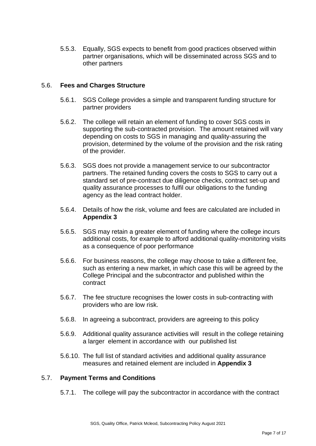5.5.3. Equally, SGS expects to benefit from good practices observed within partner organisations, which will be disseminated across SGS and to other partners

### 5.6. **Fees and Charges Structure**

- 5.6.1. SGS College provides a simple and transparent funding structure for partner providers
- 5.6.2. The college will retain an element of funding to cover SGS costs in supporting the sub-contracted provision. The amount retained will vary depending on costs to SGS in managing and quality-assuring the provision, determined by the volume of the provision and the risk rating of the provider.
- 5.6.3. SGS does not provide a management service to our subcontractor partners. The retained funding covers the costs to SGS to carry out a standard set of pre-contract due diligence checks, contract set-up and quality assurance processes to fulfil our obligations to the funding agency as the lead contract holder.
- 5.6.4. Details of how the risk, volume and fees are calculated are included in **Appendix 3**
- 5.6.5. SGS may retain a greater element of funding where the college incurs additional costs, for example to afford additional quality-monitoring visits as a consequence of poor performance
- 5.6.6. For business reasons, the college may choose to take a different fee, such as entering a new market, in which case this will be agreed by the College Principal and the subcontractor and published within the contract
- 5.6.7. The fee structure recognises the lower costs in sub-contracting with providers who are low risk.
- 5.6.8. In agreeing a subcontract, providers are agreeing to this policy
- 5.6.9. Additional quality assurance activities will result in the college retaining a larger element in accordance with our published list
- 5.6.10. The full list of standard activities and additional quality assurance measures and retained element are included in **Appendix 3**

# 5.7. **Payment Terms and Conditions**

5.7.1. The college will pay the subcontractor in accordance with the contract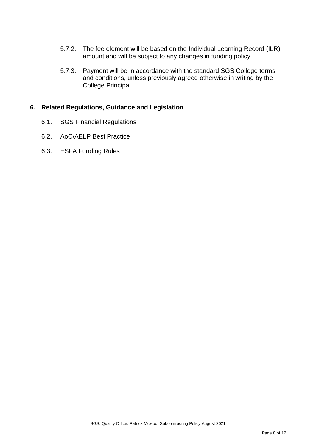- 5.7.2. The fee element will be based on the Individual Learning Record (ILR) amount and will be subject to any changes in funding policy
- 5.7.3. Payment will be in accordance with the standard SGS College terms and conditions, unless previously agreed otherwise in writing by the College Principal

# **6. Related Regulations, Guidance and Legislation**

- 6.1. SGS Financial Regulations
- 6.2. AoC/AELP Best Practice
- 6.3. ESFA Funding Rules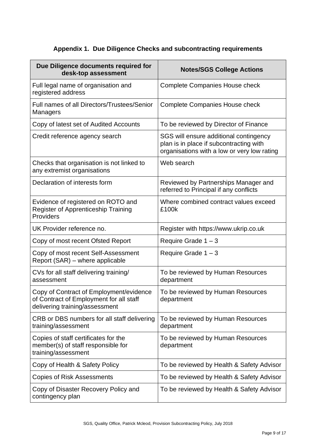# **Appendix 1. Due Diligence Checks and subcontracting requirements**

| Due Diligence documents required for<br>desk-top assessment                                                          | <b>Notes/SGS College Actions</b>                                                                                                 |
|----------------------------------------------------------------------------------------------------------------------|----------------------------------------------------------------------------------------------------------------------------------|
| Full legal name of organisation and<br>registered address                                                            | <b>Complete Companies House check</b>                                                                                            |
| Full names of all Directors/Trustees/Senior<br>Managers                                                              | <b>Complete Companies House check</b>                                                                                            |
| Copy of latest set of Audited Accounts                                                                               | To be reviewed by Director of Finance                                                                                            |
| Credit reference agency search                                                                                       | SGS will ensure additional contingency<br>plan is in place if subcontracting with<br>organisations with a low or very low rating |
| Checks that organisation is not linked to<br>any extremist organisations                                             | Web search                                                                                                                       |
| Declaration of interests form                                                                                        | Reviewed by Partnerships Manager and<br>referred to Principal if any conflicts                                                   |
| Evidence of registered on ROTO and<br><b>Register of Apprenticeship Training</b><br>Providers                        | Where combined contract values exceed<br>£100k                                                                                   |
| UK Provider reference no.                                                                                            | Register with https://www.ukrip.co.uk                                                                                            |
| Copy of most recent Ofsted Report                                                                                    | Require Grade $1 - 3$                                                                                                            |
| Copy of most recent Self-Assessment<br>Report (SAR) – where applicable                                               | Require Grade $1 - 3$                                                                                                            |
| CVs for all staff delivering training/<br>assessment                                                                 | To be reviewed by Human Resources<br>department                                                                                  |
| Copy of Contract of Employment/evidence<br>of Contract of Employment for all staff<br>delivering training/assessment | To be reviewed by Human Resources<br>department                                                                                  |
| CRB or DBS numbers for all staff delivering<br>training/assessment                                                   | To be reviewed by Human Resources<br>department                                                                                  |
| Copies of staff certificates for the<br>member(s) of staff responsible for<br>training/assessment                    | To be reviewed by Human Resources<br>department                                                                                  |
| Copy of Health & Safety Policy                                                                                       | To be reviewed by Health & Safety Advisor                                                                                        |
| <b>Copies of Risk Assessments</b>                                                                                    | To be reviewed by Health & Safety Advisor                                                                                        |
| Copy of Disaster Recovery Policy and<br>contingency plan                                                             | To be reviewed by Health & Safety Advisor                                                                                        |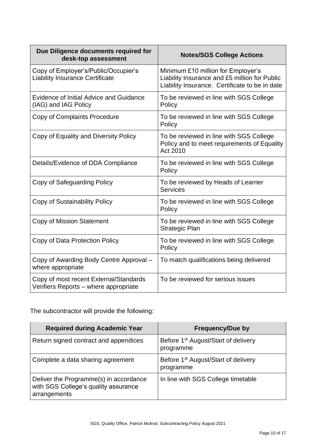| Due Diligence documents required for<br>desk-top assessment                     | <b>Notes/SGS College Actions</b>                                                                                                      |
|---------------------------------------------------------------------------------|---------------------------------------------------------------------------------------------------------------------------------------|
| Copy of Employer's/Public/Occupier's<br><b>Liability Insurance Certificate</b>  | Minimum £10 million for Employer's<br>Liability Insurance and £5 million for Public<br>Liability Insurance. Certificate to be in date |
| Evidence of Initial Advice and Guidance<br>(IAG) and IAG Policy                 | To be reviewed in line with SGS College<br>Policy                                                                                     |
| Copy of Complaints Procedure                                                    | To be reviewed in line with SGS College<br>Policy                                                                                     |
| Copy of Equality and Diversity Policy                                           | To be reviewed in line with SGS College<br>Policy and to meet requirements of Equality<br>Act 2010                                    |
| Details/Evidence of DDA Compliance                                              | To be reviewed in line with SGS College<br>Policy                                                                                     |
| Copy of Safeguarding Policy                                                     | To be reviewed by Heads of Learner<br><b>Services</b>                                                                                 |
| Copy of Sustainability Policy                                                   | To be reviewed in line with SGS College<br>Policy                                                                                     |
| <b>Copy of Mission Statement</b>                                                | To be reviewed in line with SGS College<br><b>Strategic Plan</b>                                                                      |
| Copy of Data Protection Policy                                                  | To be reviewed in line with SGS College<br>Policy                                                                                     |
| Copy of Awarding Body Centre Approval -<br>where appropriate                    | To match qualifications being delivered                                                                                               |
| Copy of most recent External/Standards<br>Verifiers Reports - where appropriate | To be reviewed for serious issues                                                                                                     |

The subcontractor will provide the following:

| <b>Required during Academic Year</b>                                                           | <b>Frequency/Due by</b>                                      |
|------------------------------------------------------------------------------------------------|--------------------------------------------------------------|
| Return signed contract and appendices                                                          | Before 1 <sup>st</sup> August/Start of delivery<br>programme |
| Complete a data sharing agreement                                                              | Before 1 <sup>st</sup> August/Start of delivery<br>programme |
| Deliver the Programme(s) in accordance<br>with SGS College's quality assurance<br>arrangements | In line with SGS College timetable                           |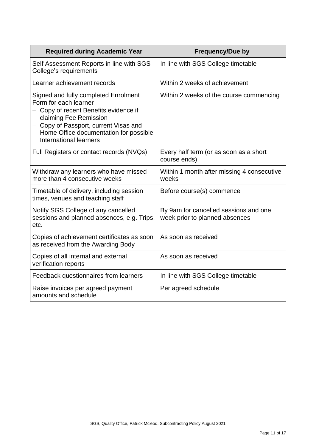| <b>Required during Academic Year</b>                                                                                                                                                                                                                 | <b>Frequency/Due by</b>                                                 |
|------------------------------------------------------------------------------------------------------------------------------------------------------------------------------------------------------------------------------------------------------|-------------------------------------------------------------------------|
| Self Assessment Reports in line with SGS<br>College's requirements                                                                                                                                                                                   | In line with SGS College timetable                                      |
| Learner achievement records                                                                                                                                                                                                                          | Within 2 weeks of achievement                                           |
| Signed and fully completed Enrolment<br>Form for each learner<br>- Copy of recent Benefits evidence if<br>claiming Fee Remission<br>- Copy of Passport, current Visas and<br>Home Office documentation for possible<br><b>International learners</b> | Within 2 weeks of the course commencing                                 |
| Full Registers or contact records (NVQs)                                                                                                                                                                                                             | Every half term (or as soon as a short<br>course ends)                  |
| Withdraw any learners who have missed<br>more than 4 consecutive weeks                                                                                                                                                                               | Within 1 month after missing 4 consecutive<br>weeks                     |
| Timetable of delivery, including session<br>times, venues and teaching staff                                                                                                                                                                         | Before course(s) commence                                               |
| Notify SGS College of any cancelled<br>sessions and planned absences, e.g. Trips,<br>etc.                                                                                                                                                            | By 9am for cancelled sessions and one<br>week prior to planned absences |
| Copies of achievement certificates as soon<br>as received from the Awarding Body                                                                                                                                                                     | As soon as received                                                     |
| Copies of all internal and external<br>verification reports                                                                                                                                                                                          | As soon as received                                                     |
| Feedback questionnaires from learners                                                                                                                                                                                                                | In line with SGS College timetable                                      |
| Raise invoices per agreed payment<br>amounts and schedule                                                                                                                                                                                            | Per agreed schedule                                                     |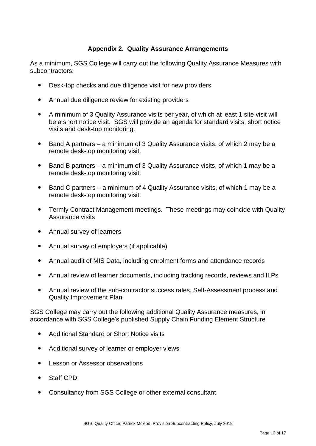# **Appendix 2. Quality Assurance Arrangements**

As a minimum, SGS College will carry out the following Quality Assurance Measures with subcontractors:

- Desk-top checks and due diligence visit for new providers
- Annual due diligence review for existing providers
- A minimum of 3 Quality Assurance visits per year, of which at least 1 site visit will be a short notice visit. SGS will provide an agenda for standard visits, short notice visits and desk-top monitoring.
- Band A partners a minimum of 3 Quality Assurance visits, of which 2 may be a remote desk-top monitoring visit.
- Band B partners a minimum of 3 Quality Assurance visits, of which 1 may be a remote desk-top monitoring visit.
- Band C partners a minimum of 4 Quality Assurance visits, of which 1 may be a remote desk-top monitoring visit.
- Termly Contract Management meetings. These meetings may coincide with Quality Assurance visits
- Annual survey of learners
- Annual survey of employers (if applicable)
- Annual audit of MIS Data, including enrolment forms and attendance records
- Annual review of learner documents, including tracking records, reviews and ILPs
- Annual review of the sub-contractor success rates, Self-Assessment process and Quality Improvement Plan

SGS College may carry out the following additional Quality Assurance measures, in accordance with SGS College's published Supply Chain Funding Element Structure

- Additional Standard or Short Notice visits
- Additional survey of learner or employer views
- **Lesson or Assessor observations**
- Staff CPD
- Consultancy from SGS College or other external consultant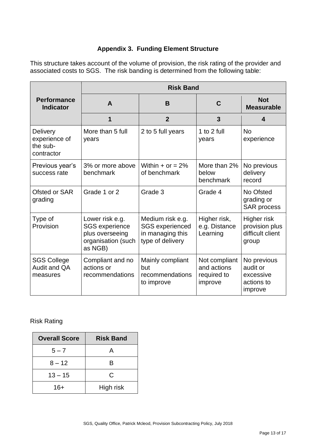# **Appendix 3. Funding Element Structure**

This structure takes account of the volume of provision, the risk rating of the provider and associated costs to SGS. The risk banding is determined from the following table:

|                                                            | <b>Risk Band</b>                                                                             |                                                                                    |                                                        |                                                               |  |
|------------------------------------------------------------|----------------------------------------------------------------------------------------------|------------------------------------------------------------------------------------|--------------------------------------------------------|---------------------------------------------------------------|--|
| <b>Performance</b><br><b>Indicator</b>                     | A                                                                                            | B                                                                                  | C                                                      | <b>Not</b><br><b>Measurable</b>                               |  |
|                                                            | 1                                                                                            | $\overline{2}$                                                                     | 3                                                      | 4                                                             |  |
| <b>Delivery</b><br>experience of<br>the sub-<br>contractor | More than 5 full<br>years                                                                    | 2 to 5 full years                                                                  | 1 to 2 full<br>years                                   | <b>No</b><br>experience                                       |  |
| Previous year's<br>success rate                            | 3% or more above<br>benchmark                                                                | Within $+$ or $= 2\%$<br>of benchmark                                              | More than 2%<br>below<br>benchmark                     | No previous<br>delivery<br>record                             |  |
| Ofsted or SAR<br>grading                                   | Grade 1 or 2                                                                                 | Grade 3                                                                            | Grade 4                                                | No Ofsted<br>grading or<br><b>SAR process</b>                 |  |
| Type of<br>Provision                                       | Lower risk e.g.<br><b>SGS</b> experience<br>plus overseeing<br>organisation (such<br>as NGB) | Medium risk e.g.<br><b>SGS</b> experienced<br>in managing this<br>type of delivery | Higher risk,<br>e.g. Distance<br>Learning              | Higher risk<br>provision plus<br>difficult client<br>group    |  |
| <b>SGS College</b><br>Audit and QA<br>measures             | Compliant and no<br>actions or<br>recommendations                                            | Mainly compliant<br>but<br>recommendations<br>to improve                           | Not compliant<br>and actions<br>required to<br>improve | No previous<br>audit or<br>excessive<br>actions to<br>improve |  |

# Risk Rating

| <b>Overall Score</b> | <b>Risk Band</b> |
|----------------------|------------------|
| $5 - 7$              | А                |
| $8 - 12$             | R                |
| $13 - 15$            | C                |
| 16+                  | High risk        |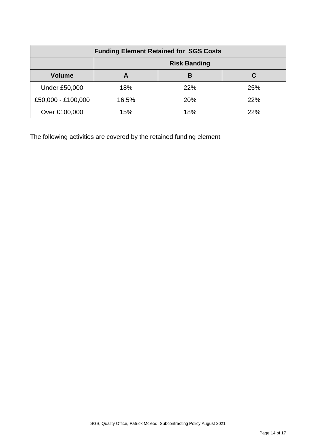| <b>Funding Element Retained for SGS Costs</b> |                     |     |     |  |
|-----------------------------------------------|---------------------|-----|-----|--|
|                                               | <b>Risk Banding</b> |     |     |  |
| <b>Volume</b>                                 | Α                   | В   | C   |  |
| <b>Under £50,000</b>                          | 18%                 | 22% | 25% |  |
| £50,000 - £100,000                            | 16.5%               | 20% | 22% |  |
| Over £100,000                                 | 15%                 | 18% | 22% |  |

The following activities are covered by the retained funding element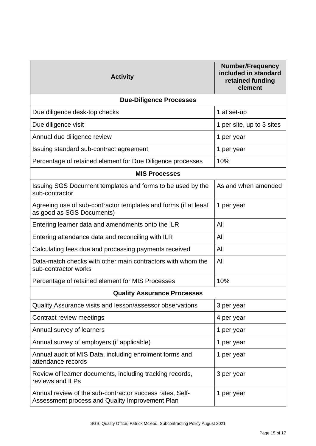| <b>Activity</b>                                                                                             | <b>Number/Frequency</b><br>included in standard<br>retained funding<br>element |  |  |  |
|-------------------------------------------------------------------------------------------------------------|--------------------------------------------------------------------------------|--|--|--|
| <b>Due-Diligence Processes</b>                                                                              |                                                                                |  |  |  |
| Due diligence desk-top checks                                                                               | 1 at set-up                                                                    |  |  |  |
| Due diligence visit                                                                                         | 1 per site, up to 3 sites                                                      |  |  |  |
| Annual due diligence review                                                                                 | 1 per year                                                                     |  |  |  |
| Issuing standard sub-contract agreement                                                                     | 1 per year                                                                     |  |  |  |
| Percentage of retained element for Due Diligence processes                                                  | 10%                                                                            |  |  |  |
| <b>MIS Processes</b>                                                                                        |                                                                                |  |  |  |
| Issuing SGS Document templates and forms to be used by the<br>sub-contractor                                | As and when amended                                                            |  |  |  |
| Agreeing use of sub-contractor templates and forms (if at least<br>as good as SGS Documents)                | 1 per year                                                                     |  |  |  |
| Entering learner data and amendments onto the ILR                                                           | All                                                                            |  |  |  |
| Entering attendance data and reconciling with ILR                                                           | All                                                                            |  |  |  |
| Calculating fees due and processing payments received                                                       | All                                                                            |  |  |  |
| Data-match checks with other main contractors with whom the<br>sub-contractor works                         | All                                                                            |  |  |  |
| Percentage of retained element for MIS Processes                                                            | 10%                                                                            |  |  |  |
| <b>Quality Assurance Processes</b>                                                                          |                                                                                |  |  |  |
| Quality Assurance visits and lesson/assessor observations                                                   | 3 per year                                                                     |  |  |  |
| Contract review meetings                                                                                    | 4 per year                                                                     |  |  |  |
| Annual survey of learners                                                                                   | 1 per year                                                                     |  |  |  |
| Annual survey of employers (if applicable)                                                                  | 1 per year                                                                     |  |  |  |
| Annual audit of MIS Data, including enrolment forms and<br>attendance records                               | 1 per year                                                                     |  |  |  |
| Review of learner documents, including tracking records,<br>reviews and ILPs                                | 3 per year                                                                     |  |  |  |
| Annual review of the sub-contractor success rates, Self-<br>Assessment process and Quality Improvement Plan | 1 per year                                                                     |  |  |  |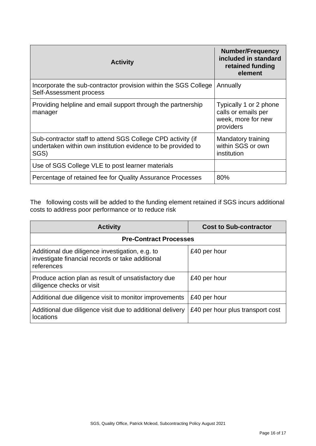| <b>Activity</b>                                                                                                                     | <b>Number/Frequency</b><br>included in standard<br>retained funding<br>element   |
|-------------------------------------------------------------------------------------------------------------------------------------|----------------------------------------------------------------------------------|
| Incorporate the sub-contractor provision within the SGS College<br>Self-Assessment process                                          | Annually                                                                         |
| Providing helpline and email support through the partnership<br>manager                                                             | Typically 1 or 2 phone<br>calls or emails per<br>week, more for new<br>providers |
| Sub-contractor staff to attend SGS College CPD activity (if<br>undertaken within own institution evidence to be provided to<br>SGS) | Mandatory training<br>within SGS or own<br>institution                           |
| Use of SGS College VLE to post learner materials                                                                                    |                                                                                  |
| Percentage of retained fee for Quality Assurance Processes                                                                          | 80%                                                                              |

The following costs will be added to the funding element retained if SGS incurs additional costs to address poor performance or to reduce risk

| <b>Activity</b>                                                                                                   | <b>Cost to Sub-contractor</b>    |  |
|-------------------------------------------------------------------------------------------------------------------|----------------------------------|--|
| <b>Pre-Contract Processes</b>                                                                                     |                                  |  |
| Additional due diligence investigation, e.g. to<br>investigate financial records or take additional<br>references | £40 per hour                     |  |
| Produce action plan as result of unsatisfactory due<br>diligence checks or visit                                  | £40 per hour                     |  |
| Additional due diligence visit to monitor improvements                                                            | £40 per hour                     |  |
| Additional due diligence visit due to additional delivery<br><b>locations</b>                                     | £40 per hour plus transport cost |  |